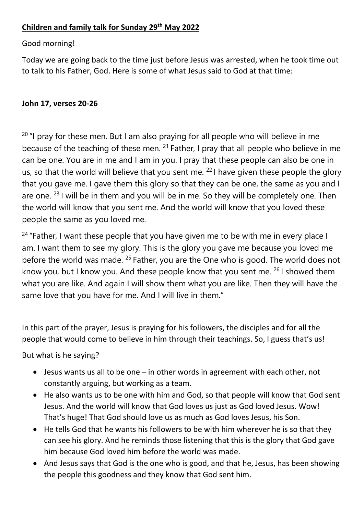# **Children and family talk for Sunday 29 th May 2022**

### Good morning!

Today we are going back to the time just before Jesus was arrested, when he took time out to talk to his Father, God. Here is some of what Jesus said to God at that time:

### **John 17, verses 20-26**

 $20$  "I pray for these men. But I am also praying for all people who will believe in me because of the teaching of these men.  $21$  Father, I pray that all people who believe in me can be one. You are in me and I am in you. I pray that these people can also be one in us, so that the world will believe that you sent me.  $22$  I have given these people the glory that you gave me. I gave them this glory so that they can be one, the same as you and I are one.  $23$  I will be in them and you will be in me. So they will be completely one. Then the world will know that you sent me. And the world will know that you loved these people the same as you loved me.

<sup>24</sup> "Father, I want these people that you have given me to be with me in every place I am. I want them to see my glory. This is the glory you gave me because you loved me before the world was made. <sup>25</sup> Father, you are the One who is good. The world does not know you, but I know you. And these people know that you sent me.  $261$  showed them what you are like. And again I will show them what you are like. Then they will have the same love that you have for me. And I will live in them."

In this part of the prayer, Jesus is praying for his followers, the disciples and for all the people that would come to believe in him through their teachings. So, I guess that's us!

# But what is he saying?

- Jesus wants us all to be one in other words in agreement with each other, not constantly arguing, but working as a team.
- He also wants us to be one with him and God, so that people will know that God sent Jesus. And the world will know that God loves us just as God loved Jesus. Wow! That's huge! That God should love us as much as God loves Jesus, his Son.
- He tells God that he wants his followers to be with him wherever he is so that they can see his glory. And he reminds those listening that this is the glory that God gave him because God loved him before the world was made.
- And Jesus says that God is the one who is good, and that he, Jesus, has been showing the people this goodness and they know that God sent him.